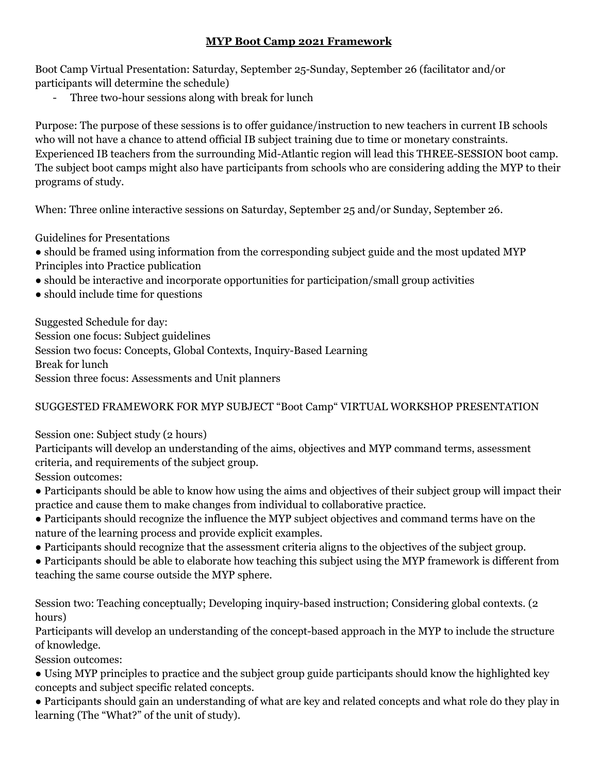## **MYP Boot Camp 2021 Framework**

Boot Camp Virtual Presentation: Saturday, September 25-Sunday, September 26 (facilitator and/or participants will determine the schedule)

Three two-hour sessions along with break for lunch

Purpose: The purpose of these sessions is to offer guidance/instruction to new teachers in current IB schools who will not have a chance to attend official IB subject training due to time or monetary constraints. Experienced IB teachers from the surrounding Mid-Atlantic region will lead this THREE-SESSION boot camp. The subject boot camps might also have participants from schools who are considering adding the MYP to their programs of study.

When: Three online interactive sessions on Saturday, September 25 and/or Sunday, September 26.

Guidelines for Presentations

● should be framed using information from the corresponding subject guide and the most updated MYP Principles into Practice publication

- should be interactive and incorporate opportunities for participation/small group activities
- should include time for questions

Suggested Schedule for day: Session one focus: Subject guidelines Session two focus: Concepts, Global Contexts, Inquiry-Based Learning Break for lunch Session three focus: Assessments and Unit planners

## SUGGESTED FRAMEWORK FOR MYP SUBJECT "Boot Camp" VIRTUAL WORKSHOP PRESENTATION

Session one: Subject study (2 hours)

Participants will develop an understanding of the aims, objectives and MYP command terms, assessment criteria, and requirements of the subject group.

Session outcomes:

- Participants should be able to know how using the aims and objectives of their subject group will impact their practice and cause them to make changes from individual to collaborative practice.
- Participants should recognize the influence the MYP subject objectives and command terms have on the nature of the learning process and provide explicit examples.
- Participants should recognize that the assessment criteria aligns to the objectives of the subject group.
- Participants should be able to elaborate how teaching this subject using the MYP framework is different from teaching the same course outside the MYP sphere.

Session two: Teaching conceptually; Developing inquiry-based instruction; Considering global contexts. (2 hours)

Participants will develop an understanding of the concept-based approach in the MYP to include the structure of knowledge.

Session outcomes:

- Using MYP principles to practice and the subject group guide participants should know the highlighted key concepts and subject specific related concepts.
- Participants should gain an understanding of what are key and related concepts and what role do they play in learning (The "What?" of the unit of study).